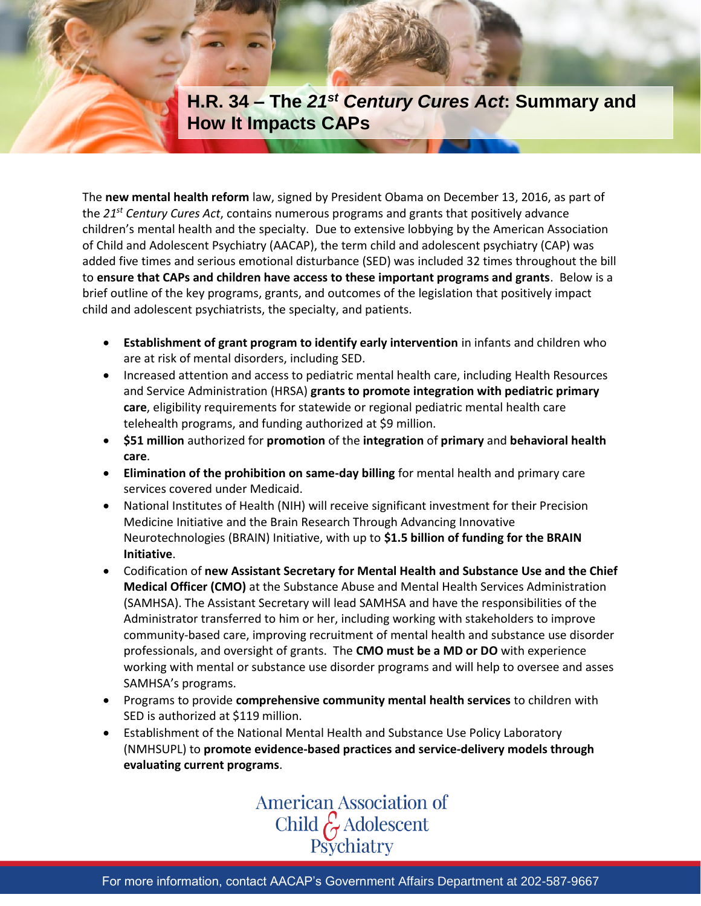

The **new mental health reform** law, signed by President Obama on December 13, 2016, as part of the *21st Century Cures Act*, contains numerous programs and grants that positively advance children's mental health and the specialty. Due to extensive lobbying by the American Association of Child and Adolescent Psychiatry (AACAP), the term child and adolescent psychiatry (CAP) was added five times and serious emotional disturbance (SED) was included 32 times throughout the bill to **ensure that CAPs and children have access to these important programs and grants**. Below is a brief outline of the key programs, grants, and outcomes of the legislation that positively impact child and adolescent psychiatrists, the specialty, and patients.

- **Establishment of grant program to identify early intervention** in infants and children who are at risk of mental disorders, including SED.
- Increased attention and access to pediatric mental health care, including Health Resources and Service Administration (HRSA) **grants to promote integration with pediatric primary care**, eligibility requirements for statewide or regional pediatric mental health care telehealth programs, and funding authorized at \$9 million.
- **\$51 million** authorized for **promotion** of the **integration** of **primary** and **behavioral health care**.
- **Elimination of the prohibition on same-day billing** for mental health and primary care services covered under Medicaid.
- National Institutes of Health (NIH) will receive significant investment for their Precision Medicine Initiative and the Brain Research Through Advancing Innovative Neurotechnologies (BRAIN) Initiative, with up to **\$1.5 billion of funding for the BRAIN Initiative**.
- Codification of **new Assistant Secretary for Mental Health and Substance Use and the Chief Medical Officer (CMO)** at the Substance Abuse and Mental Health Services Administration (SAMHSA). The Assistant Secretary will lead SAMHSA and have the responsibilities of the Administrator transferred to him or her, including working with stakeholders to improve community-based care, improving recruitment of mental health and substance use disorder professionals, and oversight of grants. The **CMO must be a MD or DO** with experience working with mental or substance use disorder programs and will help to oversee and asses SAMHSA's programs.
- Programs to provide **comprehensive community mental health services** to children with SED is authorized at \$119 million.
- Establishment of the National Mental Health and Substance Use Policy Laboratory (NMHSUPL) to **promote evidence-based practices and service-delivery models through evaluating current programs**.

## **American Association of** Child & Adolescent